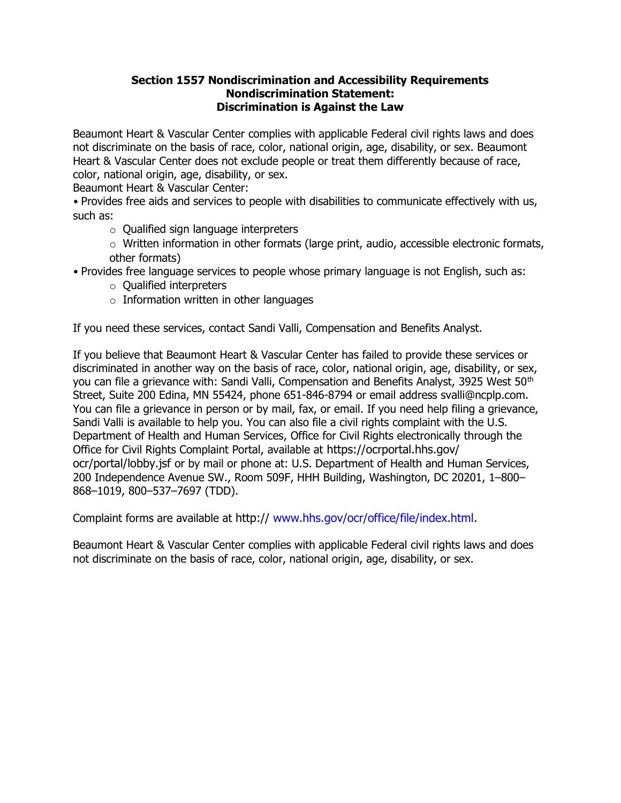## Section 1557 Nondiscrimination and Accessibility Requirements Nondiscrimination Statement: Discrimination is Against the Law

Beaumont Heart & Vascular Center complies with applicable Federal civil rights laws and does not discriminate on the basis of race, color, national origin, age, disability, or sex. Beaumont Heart & Vascular Center does not exclude people or treat them differently because of race, color, national origin, age, disability, or sex.

Beaumont Heart & Vascular Center:

• Provides free aids and services to people with disabilities to communicate effectively with us, such as:

- o Qualified sign language interpreters
- o Written information in other formats (large print, audio, accessible electronic formats, other formats)
- Provides free language services to people whose primary language is not English, such as:
	- o Qualified interpreters
	- $\circ$  Information written in other languages

If you need these services, contact Sandi Valli, Compensation and Benefits Analyst.

If you believe that Beaumont Heart & Vascular Center has failed to provide these services or discriminated in another way on the basis of race, color, national origin, age, disability, or sex, you can file a grievance with: Sandi Valli, Compensation and Benefits Analyst, 3925 West 50<sup>th</sup> Street, Suite 200 Edina, MN 55424, phone 651-846-8794 or email address svalli@ncplp.com. You can file a grievance in person or by mail, fax, or email. If you need help filing a grievance, Sandi Valli is available to help you. You can also file a civil rights complaint with the U.S. Department of Health and Human Services, Office for Civil Rights electronically through the Office for Civil Rights Complaint Portal, available at https://ocrportal.hhs.gov/ ocr/portal/lobby.jsf or by mail or phone at: U.S. Department of Health and Human Services, 200 Independence Avenue SW., Room 509F, HHH Building, Washington, DC 20201, 1–800– 868–1019, 800–537–7697 (TDD).

Complaint forms are available at http:// www.hhs.gov/ocr/office/file/index.html.

Beaumont Heart & Vascular Center complies with applicable Federal civil rights laws and does not discriminate on the basis of race, color, national origin, age, disability, or sex.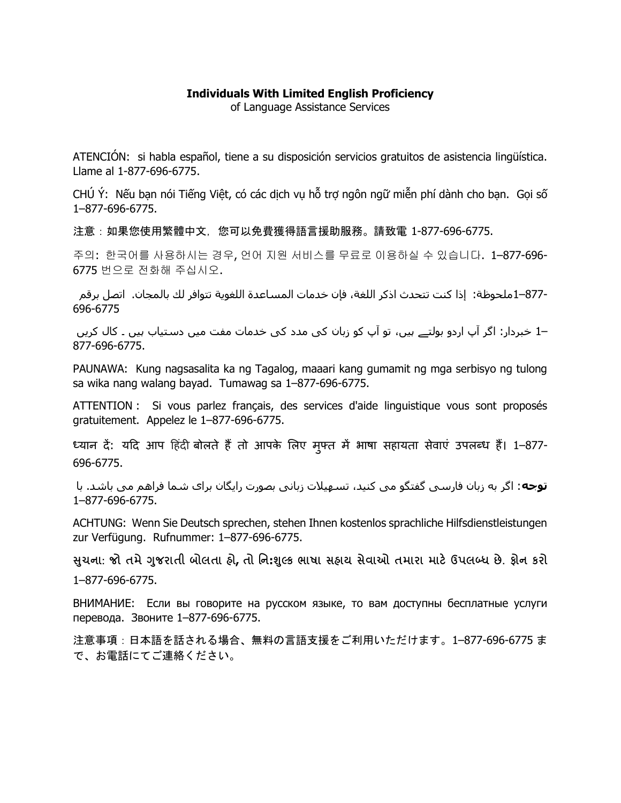## Individuals With Limited English Proficiency

of Language Assistance Services

ATENCIÓN: si habla español, tiene a su disposición servicios gratuitos de asistencia lingüística. Llame al 1-877-696-6775.

CHÚ Ý: Nếu bạn nói Tiếng Việt, có các dịch vụ hỗ trợ ngôn ngữ miễn phí dành cho bạn. Gọi số 1–877-696-6775.

注意:如果您使用繁體中文,您可以免費獲得語言援助服務。請致電 1-877-696-6775.

주의: 한국어를 사용하시는 경우, 언어 지원 서비스를 무료로 이용하실 수 있습니다. 1–877-696- 6775 번으로 전화해 주십시오.

877-–1ملحوظة: إذا كنت تتحدث اذكر اللغة، فإن خدمات المساعدة اللغوية تتوافر لك بالمجان. اتصل برقم 696-6775

–1 خبردار: اگر آپ اردو بولتے ہيں، تو آپ کو زبان کی مدد کی خدمات مفت ميں دستياب ہيں ۔ کال کریں 877-696-6775.

PAUNAWA: Kung nagsasalita ka ng Tagalog, maaari kang gumamit ng mga serbisyo ng tulong sa wika nang walang bayad. Tumawag sa 1–877-696-6775.

ATTENTION : Si vous parlez français, des services d'aide linguistique vous sont proposés gratuitement. Appelez le 1–877-696-6775.

ध्यान दें: यदि आप हिंदी बोलते हैं तो आपके लिए मुफ्त में भाषा सहायता सेवाएं उपलब्ध हैं। 1–877-696-6775.

توجه: اگر به زبان فارسی گفتگو می کنيد، تسهيلات زبانی بصورت رایگان برای شما فراهم می باشد. با 1–877-696-6775.

ACHTUNG: Wenn Sie Deutsch sprechen, stehen Ihnen kostenlos sprachliche Hilfsdienstleistungen zur Verfügung. Rufnummer: 1–877-696-6775.

સુચના: જો તમે ગુજરાતી બોલતા હો, તો નિ:શુલ્ક ભાષા સહાય સેવાઓ તમારા માટે ઉપલબ્ધ છે. ફોન કરો 1–877-696-6775.

ВНИМАНИЕ: Если вы говорите на русском языке, то вам доступны бесплатные услуги перевода. Звоните 1–877-696-6775.

注意事項:日本語を話される場合、無料の言語支援をご利用いただけます。1–877-696-6775 ま で、お電話にてご連絡ください。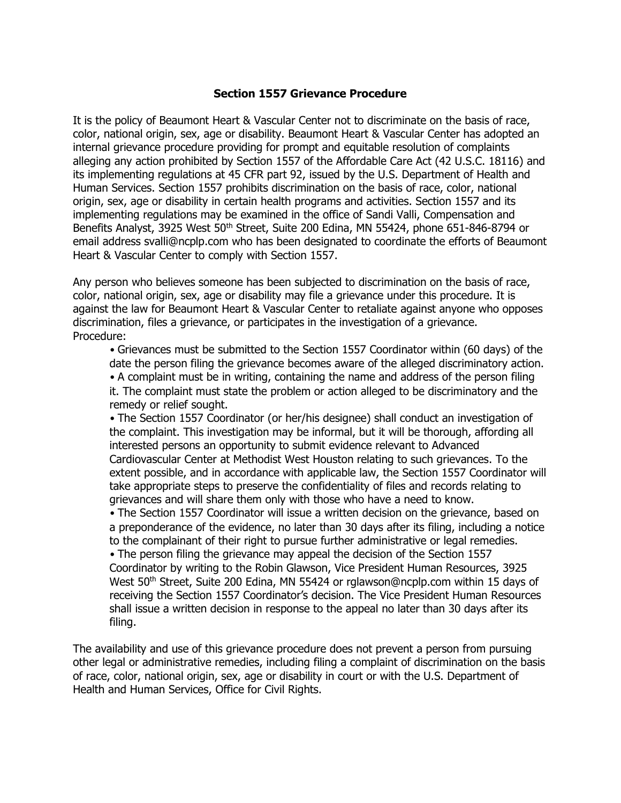## Section 1557 Grievance Procedure

It is the policy of Beaumont Heart & Vascular Center not to discriminate on the basis of race, color, national origin, sex, age or disability. Beaumont Heart & Vascular Center has adopted an internal grievance procedure providing for prompt and equitable resolution of complaints alleging any action prohibited by Section 1557 of the Affordable Care Act (42 U.S.C. 18116) and its implementing regulations at 45 CFR part 92, issued by the U.S. Department of Health and Human Services. Section 1557 prohibits discrimination on the basis of race, color, national origin, sex, age or disability in certain health programs and activities. Section 1557 and its implementing regulations may be examined in the office of Sandi Valli, Compensation and Benefits Analyst, 3925 West 50<sup>th</sup> Street, Suite 200 Edina, MN 55424, phone 651-846-8794 or email address svalli@ncplp.com who has been designated to coordinate the efforts of Beaumont Heart & Vascular Center to comply with Section 1557.

Any person who believes someone has been subjected to discrimination on the basis of race, color, national origin, sex, age or disability may file a grievance under this procedure. It is against the law for Beaumont Heart & Vascular Center to retaliate against anyone who opposes discrimination, files a grievance, or participates in the investigation of a grievance. Procedure:

• Grievances must be submitted to the Section 1557 Coordinator within (60 days) of the date the person filing the grievance becomes aware of the alleged discriminatory action. • A complaint must be in writing, containing the name and address of the person filing it. The complaint must state the problem or action alleged to be discriminatory and the remedy or relief sought.

• The Section 1557 Coordinator (or her/his designee) shall conduct an investigation of the complaint. This investigation may be informal, but it will be thorough, affording all interested persons an opportunity to submit evidence relevant to Advanced Cardiovascular Center at Methodist West Houston relating to such grievances. To the extent possible, and in accordance with applicable law, the Section 1557 Coordinator will take appropriate steps to preserve the confidentiality of files and records relating to grievances and will share them only with those who have a need to know.

• The Section 1557 Coordinator will issue a written decision on the grievance, based on a preponderance of the evidence, no later than 30 days after its filing, including a notice to the complainant of their right to pursue further administrative or legal remedies.

• The person filing the grievance may appeal the decision of the Section 1557 Coordinator by writing to the Robin Glawson, Vice President Human Resources, 3925 West 50<sup>th</sup> Street, Suite 200 Edina, MN 55424 or rglawson@ncplp.com within 15 days of receiving the Section 1557 Coordinator's decision. The Vice President Human Resources shall issue a written decision in response to the appeal no later than 30 days after its filing.

The availability and use of this grievance procedure does not prevent a person from pursuing other legal or administrative remedies, including filing a complaint of discrimination on the basis of race, color, national origin, sex, age or disability in court or with the U.S. Department of Health and Human Services, Office for Civil Rights.